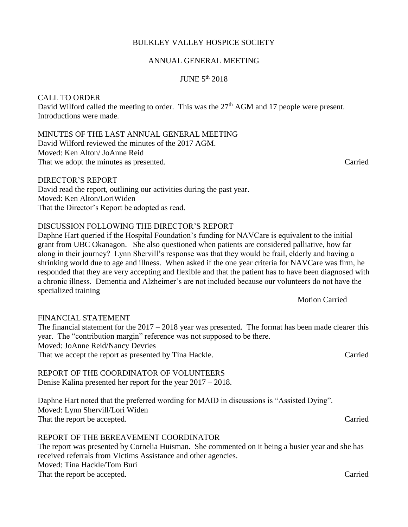## BULKLEY VALLEY HOSPICE SOCIETY

### ANNUAL GENERAL MEETING

## JUNE 5th 2018

### CALL TO ORDER

David Wilford called the meeting to order. This was the 27<sup>th</sup> AGM and 17 people were present. Introductions were made.

MINUTES OF THE LAST ANNUAL GENERAL MEETING David Wilford reviewed the minutes of the 2017 AGM.

Moved: Ken Alton/ JoAnne Reid That we adopt the minutes as presented. Carried

DIRECTOR'S REPORT

David read the report, outlining our activities during the past year. Moved: Ken Alton/LoriWiden That the Director's Report be adopted as read.

### DISCUSSION FOLLOWING THE DIRECTOR'S REPORT

Daphne Hart queried if the Hospital Foundation's funding for NAVCare is equivalent to the initial grant from UBC Okanagon. She also questioned when patients are considered palliative, how far along in their journey? Lynn Shervill's response was that they would be frail, elderly and having a shrinking world due to age and illness. When asked if the one year criteria for NAVCare was firm, he responded that they are very accepting and flexible and that the patient has to have been diagnosed with a chronic illness. Dementia and Alzheimer's are not included because our volunteers do not have the specialized training

Motion Carried

### FINANCIAL STATEMENT

The financial statement for the  $2017 - 2018$  year was presented. The format has been made clearer this year. The "contribution margin" reference was not supposed to be there. Moved: JoAnne Reid/Nancy Devries That we accept the report as presented by Tina Hackle. Carried

# REPORT OF THE COORDINATOR OF VOLUNTEERS

Denise Kalina presented her report for the year 2017 – 2018.

Daphne Hart noted that the preferred wording for MAID in discussions is "Assisted Dying". Moved: Lynn Shervill/Lori Widen That the report be accepted. Carried

### REPORT OF THE BEREAVEMENT COORDINATOR

The report was presented by Cornelia Huisman. She commented on it being a busier year and she has received referrals from Victims Assistance and other agencies. Moved: Tina Hackle/Tom Buri That the report be accepted. Carried